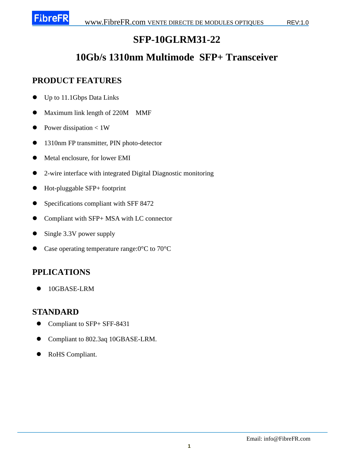# **SFP-10GLRM31-22**

# **10Gb/s 1310nm Multimode SFP+ Transceiver**

#### **PRODUCT FEATURES**

- Up to 11.1Gbps Data Links
- Maximum link length of 220M MMF
- Power dissipation  $< 1W$
- 1310nm FP transmitter, PIN photo-detector
- $\bullet$  Metal enclosure, for lower EMI
- 2-wire interface with integrated Digital Diagnostic monitoring
- Hot-pluggable SFP+ footprint
- Specifications compliant with SFF 8472
- Compliant with SFP+ MSA with LC connector
- Single 3.3V power supply
- Case operating temperature range:  $0 \, \text{C}$  to  $70 \, \text{C}$

### **PPLICATIONS**

10GBASE-LRM

#### **STANDARD**

- Compliant to SFP+ SFF-8431
- Compliant to 802.3aq 10GBASE-LRM.
- RoHS Compliant.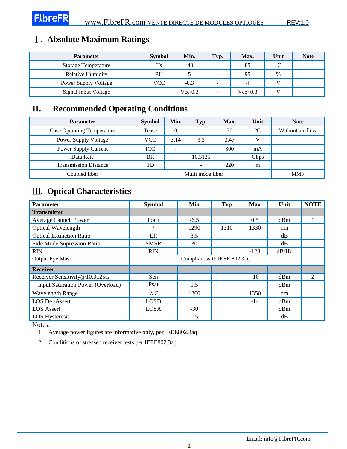## Ⅰ. **Absolute Maximum Ratings**

| <b>Parameter</b>            | <b>Symbol</b> | Min.      | Typ.                     | Max.      | Unit           | <b>Note</b> |
|-----------------------------|---------------|-----------|--------------------------|-----------|----------------|-------------|
| <b>Storage Temperature</b>  | Ts            | $-40$     | $\overline{\phantom{a}}$ | 85        | $\mathfrak{C}$ |             |
| <b>Relative Humidity</b>    | <b>RH</b>     |           | ۰                        | 95        | $\%$           |             |
| <b>Power Supply Voltage</b> | <b>VCC</b>    | $-0.3$    | ۰                        |           |                |             |
| Signal Input Voltage        |               | $Vec-0.3$ | -                        | $Vec+0.3$ |                |             |

#### **II. Recommended Operating Conditions**

| <b>Parameter</b>                  | <b>Symbol</b>    | Min. | Typ.                     | Max.       | Unit | <b>Note</b>      |
|-----------------------------------|------------------|------|--------------------------|------------|------|------------------|
| <b>Case Operating Temperature</b> | Tcase            |      | $\overline{\phantom{a}}$ | 70         | C    | Without air flow |
| <b>Power Supply Voltage</b>       | VCC              | 3.14 | 3.3                      | 3.47       | v    |                  |
| Power Supply Current              | ICC              | -    |                          | 300        | mA   |                  |
| Data Rate                         | <b>BR</b>        |      | 10.3125                  |            | Gbps |                  |
| <b>Transmission Distance</b>      | TD               |      | $\sim$                   | 220        | m    |                  |
| Coupled fiber                     | Multi mode fiber |      |                          | <b>MMF</b> |      |                  |

## Ⅲ. **Optical Characteristics**

| <b>Parameter</b>                         | <b>Symbol</b>               | Min    | <b>Typ</b> | <b>Max</b> | Unit  | <b>NOTE</b> |
|------------------------------------------|-----------------------------|--------|------------|------------|-------|-------------|
| <b>Transmitter</b>                       |                             |        |            |            |       |             |
| Average Launch Power                     | POUT                        | $-6.5$ |            | 0.5        | dBm   |             |
| <b>Optical Wavelength</b>                | $\lambda$                   | 1290   | 1310       | 1330       | nm    |             |
| <b>Optical Extinction Ratio</b>          | ER                          | 3.5    |            |            | dB    |             |
| Side Mode Supression Ratio               | <b>SMSR</b>                 | 30     |            |            | dB    |             |
| <b>RIN</b>                               | <b>RIN</b>                  |        |            | $-128$     | dB/Hz |             |
| <b>Output Eye Mask</b>                   | Compliant with IEEE 802.3aq |        |            |            |       |             |
| <b>Receiver</b>                          |                             |        |            |            |       |             |
| Receiver Sensitivity@10.3125G            | Sen                         |        |            | $-10$      | dBm   | 2           |
| <b>Input Saturation Power (Overload)</b> | Psat                        | 1.5    |            |            | dBm   |             |
| <b>Wavelength Range</b>                  | $\lambda C$                 | 1260   |            | 1350       | nm    |             |
| LOS De-Assert                            | <b>LOSD</b>                 |        |            | $-14$      | dBm   |             |
| <b>LOS</b> Assert                        | LOSA                        | $-30$  |            |            | dBm   |             |
| <b>LOS Hysteresis</b>                    |                             | 0.5    |            |            | dB    |             |

Notes:

1. Average power figures are informative only, per IEEE802.3aq

2. Conditions of stressed receiver tests per IEEE802.3aq.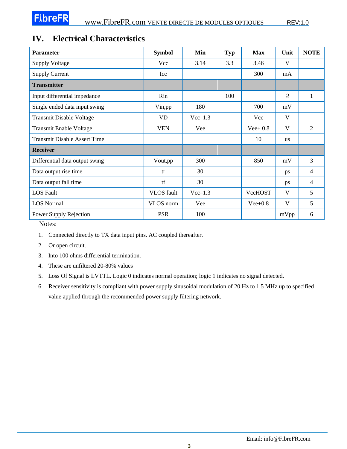#### **IV. Electrical Characteristics**

| <b>Parameter</b>                    | <b>Symbol</b>     | Min       | <b>Typ</b> | <b>Max</b> | Unit      | <b>NOTE</b>    |
|-------------------------------------|-------------------|-----------|------------|------------|-----------|----------------|
| <b>Supply Voltage</b>               | Vcc               | 3.14      | 3.3        | 3.46       | V         |                |
| <b>Supply Current</b>               | Icc               |           |            | 300        | mA        |                |
| <b>Transmitter</b>                  |                   |           |            |            |           |                |
| Input differential impedance        | Rin               |           | 100        |            | Ω         | 1              |
| Single ended data input swing       | Vin,pp            | 180       |            | 700        | mV        |                |
| <b>Transmit Disable Voltage</b>     | <b>VD</b>         | $Vec-1.3$ |            | Vcc        | V         |                |
| <b>Transmit Enable Voltage</b>      | <b>VEN</b>        | Vee       |            | $Vee+0.8$  | V         | 2              |
| <b>Transmit Disable Assert Time</b> |                   |           |            | 10         | <b>us</b> |                |
| <b>Receiver</b>                     |                   |           |            |            |           |                |
| Differential data output swing      | Vout,pp           | 300       |            | 850        | mV        | 3              |
| Data output rise time               | tr                | 30        |            |            | ps        | $\overline{4}$ |
| Data output fall time               | tf                | 30        |            |            | ps        | $\overline{4}$ |
| <b>LOS</b> Fault                    | <b>VLOS</b> fault | $Vec-1.3$ |            | VccHOST    | V         | 5              |
| <b>LOS Normal</b>                   | VLOS norm         | Vee       |            | $Vee+0.8$  | V         | 5              |
| Power Supply Rejection              | <b>PSR</b>        | 100       |            |            | mVpp      | 6              |

Notes:

- 1. Connected directly to TX data input pins. AC coupled thereafter.
- 2. Or open circuit.
- 3. Into 100 ohms differential termination.
- 4. These are unfiltered 20-80% values
- 5. Loss Of Signal is LVTTL. Logic 0 indicates normal operation; logic 1 indicates no signal detected.
- 6. Receiver sensitivity is compliant with power supply sinusoidal modulation of 20 Hz to 1.5 MHz up to specified value applied through the recommended power supply filtering network.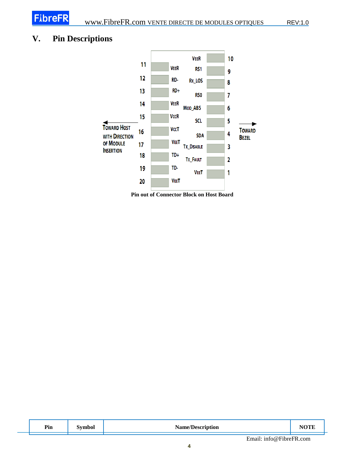## **V. Pin Descriptions**



**Pin out of Connector Block on Host Board** 

| Pin | $\tilde{\phantom{a}}$<br>$\sim$ - $\sim$ - $\sim$<br>$\overline{\phantom{a}}$ | ъ т<br>Nomo.<br>ион |  |
|-----|-------------------------------------------------------------------------------|---------------------|--|
|     |                                                                               |                     |  |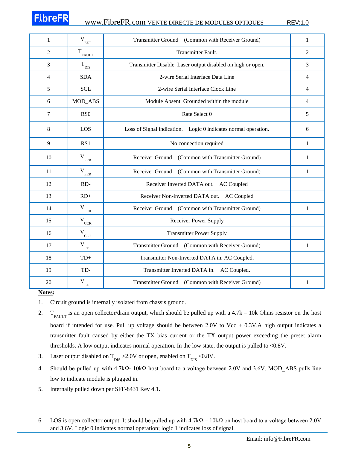# **FibreFF**

| 1  | V<br>EET                    | Transmitter Ground (Common with Receiver Ground)               |              |
|----|-----------------------------|----------------------------------------------------------------|--------------|
| 2  | $\mathbf{T}_{\text{FALLT}}$ | Transmitter Fault.                                             |              |
| 3  | $T_{\text{DIS}}$            | Transmitter Disable. Laser output disabled on high or open.    | 3            |
| 4  | <b>SDA</b>                  | 2-wire Serial Interface Data Line                              | 4            |
| 5  | <b>SCL</b>                  | 2-wire Serial Interface Clock Line                             | 4            |
| 6  | MOD_ABS                     | Module Absent. Grounded within the module                      | 4            |
| 7  | RS <sub>0</sub>             | Rate Select 0                                                  | 5            |
| 8  | LOS                         | Loss of Signal indication. Logic 0 indicates normal operation. | 6            |
| 9  | RS1                         | No connection required                                         | 1            |
| 10 | $\mathbf V$<br>EER          | Receiver Ground (Common with Transmitter Ground)               | 1            |
| 11 | $\rm V_{\rm EER}$           | Receiver Ground (Common with Transmitter Ground)               | 1            |
| 12 | RD-                         | Receiver Inverted DATA out. AC Coupled                         |              |
| 13 | $RD+$                       | Receiver Non-inverted DATA out. AC Coupled                     |              |
| 14 | $V_{EER}$                   | Receiver Ground (Common with Transmitter Ground)               | 1            |
| 15 | $V_{\text{CCR}}$            | <b>Receiver Power Supply</b>                                   |              |
| 16 | $V_{\text{cCT}}$            | <b>Transmitter Power Supply</b>                                |              |
| 17 | $\mathbf{V}_{\texttt{EET}}$ | Transmitter Ground (Common with Receiver Ground)               | $\mathbf{1}$ |
| 18 | $TD+$                       | Transmitter Non-Inverted DATA in. AC Coupled.                  |              |
| 19 | TD-                         | Transmitter Inverted DATA in. AC Coupled.                      |              |
| 20 | $V_{\text{EET}}$            | Transmitter Ground (Common with Receiver Ground)               | $\mathbf{1}$ |

#### **Notes:**

- 1. Circuit ground is internally isolated from chassis ground.
- 2.  $T_{\text{FAULT}}$  is an open collector/drain output, which should be pulled up with a 4.7k 10k Ohms resistor on the host board if intended for use. Pull up voltage should be between  $2.0V$  to Vcc + 0.3V.A high output indicates a transmitter fault caused by either the TX bias current or the TX output power exceeding the preset alarm thresholds. A low output indicates normal operation. In the low state, the output is pulled to <0.8V.
- 3. Laser output disabled on  $T_{\text{DIS}} > 2.0V$  or open, enabled on  $T_{\text{DIS}} < 0.8V$ .
- 4. Should be pulled up with 4.7kΩ- 10kΩ host board to a voltage between 2.0V and 3.6V. MOD\_ABS pulls line low to indicate module is plugged in.
- 5. Internally pulled down per SFF-8431 Rev 4.1.
- 6. LOS is open collector output. It should be pulled up with 4.7kΩ 10kΩ on host board to a voltage between 2.0V and 3.6V. Logic 0 indicates normal operation; logic 1 indicates loss of signal.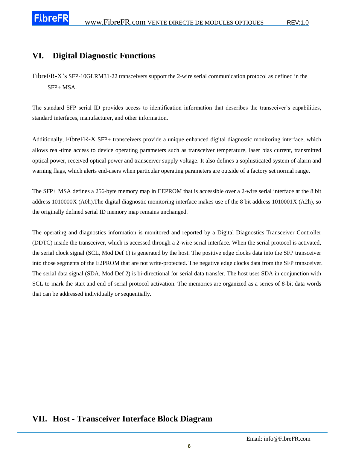#### **VI. Digital Diagnostic Functions**

The standard SFP serial ID provides access to identification information that describes the transceiver's capabilities, standard interfaces, manufacturer, and other information.

Additionally, FibreFR-X SFP+ transceivers provide a unique enhanced digital diagnostic monitoring interface, which allows real-time access to device operating parameters such as transceiver temperature, laser bias current, transmitted optical power, received optical power and transceiver supply voltage. It also defines a sophisticated system of alarm and warning flags, which alerts end-users when particular operating parameters are outside of a factory set normal range.

The SFP+ MSA defines a 256-byte memory map in EEPROM that is accessible over a 2-wire serial interface at the 8 bit address 1010000X (A0h).The digital diagnostic monitoring interface makes use of the 8 bit address 1010001X (A2h), so the originally defined serial ID memory map remains unchanged.

The operating and diagnostics information is monitored and reported by a Digital Diagnostics Transceiver Controller (DDTC) inside the transceiver, which is accessed through a 2-wire serial interface. When the serial protocol is activated, the serial clock signal (SCL, Mod Def 1) is generated by the host. The positive edge clocks data into the SFP transceiver into those segments of the E2PROM that are not write-protected. The negative edge clocks data from the SFP transceiver. The serial data signal (SDA, Mod Def 2) is bi-directional for serial data transfer. The host uses SDA in conjunction with SCL to mark the start and end of serial protocol activation. The memories are organized as a series of 8-bit data words that can be addressed individually or sequentially.

#### **VII. Host - Transceiver Interface Block Diagram**

FibreFR-X's SFP-10GLRM31-22 transceivers support the 2-wire serial communication protocol as defined in the SFP+ MSA.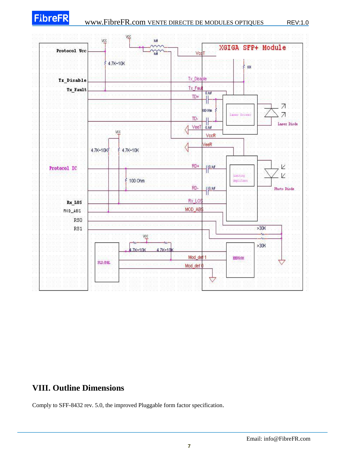

### **VIII. Outline Dimensions**

Comply to SFF-8432 rev. 5.0, the improved Pluggable form factor specification.